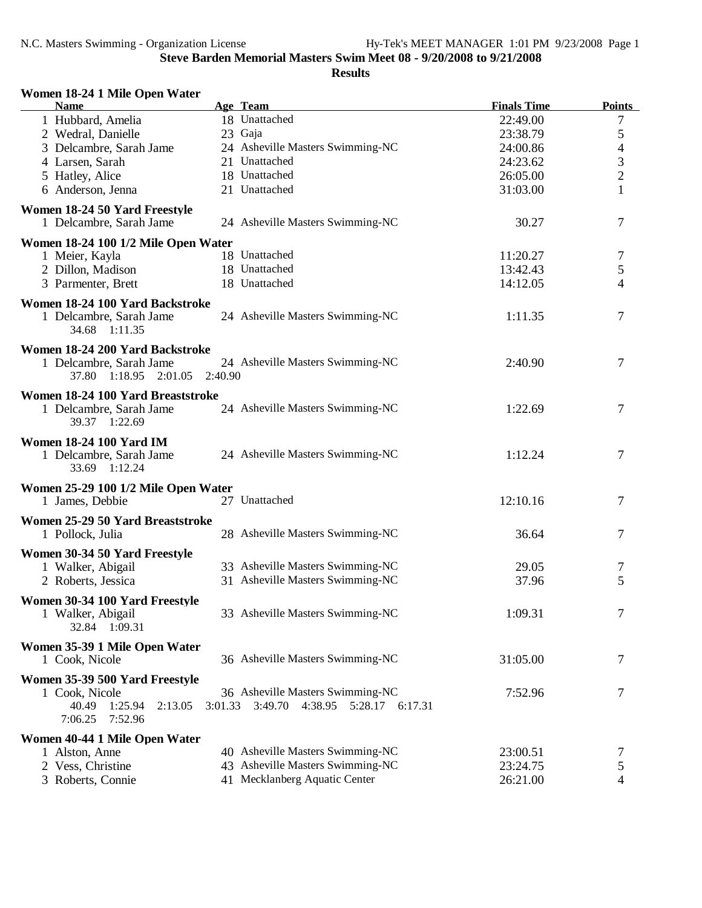## **Results**

## **Women 18-24 1 Mile Open Water**

| <b>Name</b>                                     |         | Age Team                                | <b>Finals Time</b> | <b>Points</b>  |
|-------------------------------------------------|---------|-----------------------------------------|--------------------|----------------|
| 1 Hubbard, Amelia                               |         | 18 Unattached                           | 22:49.00           | 7              |
| 2 Wedral, Danielle                              |         | 23 Gaja                                 | 23:38.79           | 5              |
| 3 Delcambre, Sarah Jame                         |         | 24 Asheville Masters Swimming-NC        | 24:00.86           | 4              |
| 4 Larsen, Sarah                                 |         | 21 Unattached                           | 24:23.62           | $\mathfrak{Z}$ |
| 5 Hatley, Alice                                 |         | 18 Unattached                           | 26:05.00           | $\overline{c}$ |
| 6 Anderson, Jenna                               |         | 21 Unattached                           | 31:03.00           | $\mathbf{1}$   |
| Women 18-24 50 Yard Freestyle                   |         |                                         |                    |                |
| 1 Delcambre, Sarah Jame                         |         | 24 Asheville Masters Swimming-NC        | 30.27              | 7              |
| Women 18-24 100 1/2 Mile Open Water             |         |                                         |                    |                |
| 1 Meier, Kayla                                  |         | 18 Unattached                           | 11:20.27           | 7              |
| 2 Dillon, Madison                               |         | 18 Unattached                           | 13:42.43           | 5              |
| 3 Parmenter, Brett                              |         | 18 Unattached                           | 14:12.05           | 4              |
|                                                 |         |                                         |                    |                |
| Women 18-24 100 Yard Backstroke                 |         |                                         |                    |                |
| 1 Delcambre, Sarah Jame<br>34.68 1:11.35        |         | 24 Asheville Masters Swimming-NC        | 1:11.35            | 7              |
|                                                 |         |                                         |                    |                |
| Women 18-24 200 Yard Backstroke                 |         |                                         |                    |                |
| 1 Delcambre, Sarah Jame                         |         | 24 Asheville Masters Swimming-NC        | 2:40.90            | 7              |
| 37.80 1:18.95 2:01.05                           | 2:40.90 |                                         |                    |                |
| Women 18-24 100 Yard Breaststroke               |         |                                         |                    |                |
| 1 Delcambre, Sarah Jame                         |         | 24 Asheville Masters Swimming-NC        | 1:22.69            | 7              |
| 39.37 1:22.69                                   |         |                                         |                    |                |
| <b>Women 18-24 100 Yard IM</b>                  |         |                                         |                    |                |
| 1 Delcambre, Sarah Jame                         |         | 24 Asheville Masters Swimming-NC        | 1:12.24            | 7              |
| 33.69 1:12.24                                   |         |                                         |                    |                |
| Women 25-29 100 1/2 Mile Open Water             |         |                                         |                    |                |
| 1 James, Debbie                                 |         | 27 Unattached                           | 12:10.16           | 7              |
| Women 25-29 50 Yard Breaststroke                |         |                                         |                    |                |
| 1 Pollock, Julia                                |         | 28 Asheville Masters Swimming-NC        | 36.64              | 7              |
|                                                 |         |                                         |                    |                |
| Women 30-34 50 Yard Freestyle                   |         |                                         |                    |                |
| 1 Walker, Abigail                               |         | 33 Asheville Masters Swimming-NC        | 29.05              | 7              |
| 2 Roberts, Jessica                              |         | 31 Asheville Masters Swimming-NC        | 37.96              | 5              |
| Women 30-34 100 Yard Freestyle                  |         |                                         |                    |                |
| 1 Walker, Abigail                               |         | 33 Asheville Masters Swimming-NC        | 1:09.31            | 7              |
| 32.84 1:09.31                                   |         |                                         |                    |                |
| Women 35-39 1 Mile Open Water                   |         |                                         |                    |                |
| 1 Cook, Nicole                                  |         | 36 Asheville Masters Swimming-NC        | 31:05.00           | 7              |
| Women 35-39 500 Yard Freestyle                  |         |                                         |                    |                |
| 1 Cook, Nicole                                  |         | 36 Asheville Masters Swimming-NC        | 7:52.96            | 7              |
| 40.49<br>1:25.94<br>2:13.05                     |         | 3:01.33 3:49.70 4:38.95 5:28.17 6:17.31 |                    |                |
| 7:52.96<br>7:06.25                              |         |                                         |                    |                |
|                                                 |         |                                         |                    |                |
| Women 40-44 1 Mile Open Water<br>1 Alston, Anne |         | 40 Asheville Masters Swimming-NC        | 23:00.51           | 7              |
| 2 Vess, Christine                               |         | 43 Asheville Masters Swimming-NC        | 23:24.75           | 5              |
| 3 Roberts, Connie                               |         | 41 Mecklanberg Aquatic Center           | 26:21.00           | 4              |
|                                                 |         |                                         |                    |                |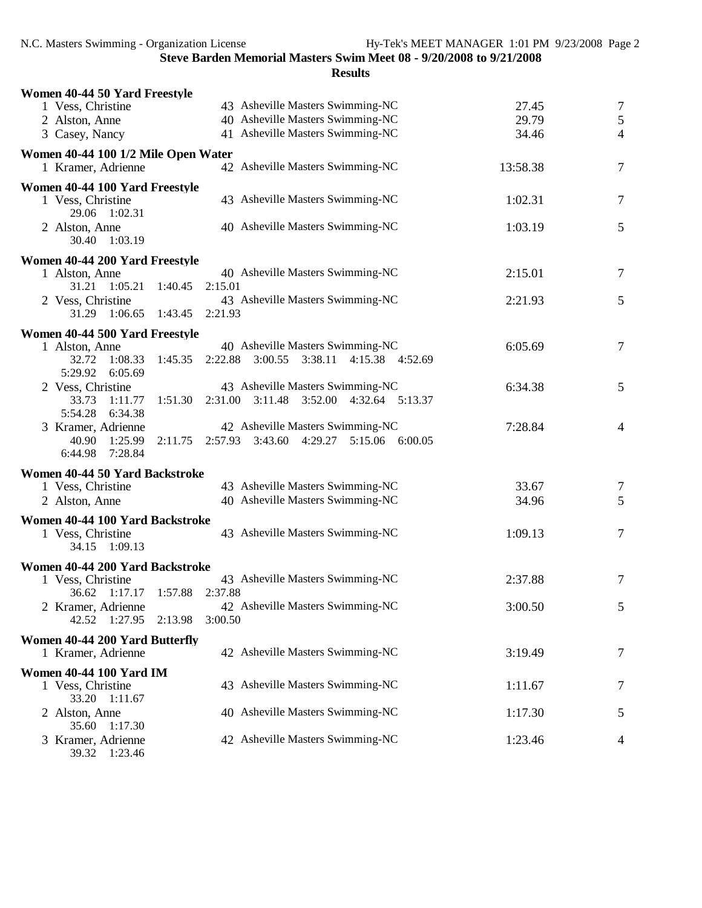| Women 40-44 50 Yard Freestyle                     |                                                                             |          |                |
|---------------------------------------------------|-----------------------------------------------------------------------------|----------|----------------|
| 1 Vess, Christine                                 | 43 Asheville Masters Swimming-NC                                            | 27.45    | $\overline{7}$ |
| 2 Alston, Anne                                    | 40 Asheville Masters Swimming-NC                                            | 29.79    | $\mathfrak{S}$ |
| 3 Casey, Nancy                                    | 41 Asheville Masters Swimming-NC                                            | 34.46    | $\overline{4}$ |
| Women 40-44 100 1/2 Mile Open Water               |                                                                             |          |                |
| 1 Kramer, Adrienne                                | 42 Asheville Masters Swimming-NC                                            | 13:58.38 | $\overline{7}$ |
| Women 40-44 100 Yard Freestyle                    |                                                                             |          |                |
| 1 Vess, Christine<br>29.06 1:02.31                | 43 Asheville Masters Swimming-NC                                            | 1:02.31  | $\overline{7}$ |
| 2 Alston, Anne<br>30.40 1:03.19                   | 40 Asheville Masters Swimming-NC                                            | 1:03.19  | 5              |
| Women 40-44 200 Yard Freestyle                    |                                                                             |          |                |
| 1 Alston, Anne                                    | 40 Asheville Masters Swimming-NC                                            | 2:15.01  | 7              |
| 31.21<br>$1:05.21$ $1:40.45$<br>2 Vess, Christine | 2:15.01<br>43 Asheville Masters Swimming-NC                                 | 2:21.93  | 5              |
| 31.29 1:06.65 1:43.45                             | 2:21.93                                                                     |          |                |
| Women 40-44 500 Yard Freestyle                    |                                                                             |          |                |
| 1 Alston, Anne                                    | 40 Asheville Masters Swimming-NC                                            | 6:05.69  | $\overline{7}$ |
| 32.72 1:08.33<br>5:29.92 6:05.69                  | 1:45.35 2:22.88 3:00.55 3:38.11 4:15.38 4:52.69                             |          |                |
| 2 Vess, Christine                                 | 43 Asheville Masters Swimming-NC                                            | 6:34.38  | 5              |
| 33.73 1:11.77                                     | 1:51.30 2:31.00 3:11.48 3:52.00 4:32.64 5:13.37                             |          |                |
| 5:54.28 6:34.38                                   |                                                                             |          |                |
| 3 Kramer, Adrienne<br>40.90<br>1:25.99<br>2:11.75 | 42 Asheville Masters Swimming-NC<br>2:57.93 3:43.60 4:29.27 5:15.06 6:00.05 | 7:28.84  | 4              |
| 6:44.98 7:28.84                                   |                                                                             |          |                |
| Women 40-44 50 Yard Backstroke                    |                                                                             |          |                |
| 1 Vess, Christine                                 | 43 Asheville Masters Swimming-NC                                            | 33.67    | 7              |
| 2 Alston, Anne                                    | 40 Asheville Masters Swimming-NC                                            | 34.96    | 5              |
| Women 40-44 100 Yard Backstroke                   |                                                                             |          |                |
| 1 Vess, Christine                                 | 43 Asheville Masters Swimming-NC                                            | 1:09.13  | $\overline{7}$ |
| 34.15 1:09.13                                     |                                                                             |          |                |
| Women 40-44 200 Yard Backstroke                   |                                                                             |          |                |
| 1 Vess, Christine                                 | 43 Asheville Masters Swimming-NC                                            | 2:37.88  | $\overline{7}$ |
| 36.62 1:17.17 1:57.88 2:37.88                     |                                                                             |          |                |
| 2 Kramer, Adrienne                                | 42 Asheville Masters Swimming-NC                                            | 3:00.50  | 5              |
| 42.52 1:27.95<br>2:13.98                          | 3:00.50                                                                     |          |                |
| Women 40-44 200 Yard Butterfly                    |                                                                             |          |                |
| 1 Kramer, Adrienne                                | 42 Asheville Masters Swimming-NC                                            | 3:19.49  | 7              |
| <b>Women 40-44 100 Yard IM</b>                    |                                                                             |          |                |
| 1 Vess, Christine<br>33.20 1:11.67                | 43 Asheville Masters Swimming-NC                                            | 1:11.67  | 7              |
| 2 Alston, Anne                                    | 40 Asheville Masters Swimming-NC                                            | 1:17.30  | 5              |
| 35.60 1:17.30                                     |                                                                             |          |                |
| 3 Kramer, Adrienne<br>39.32 1:23.46               | 42 Asheville Masters Swimming-NC                                            | 1:23.46  | 4              |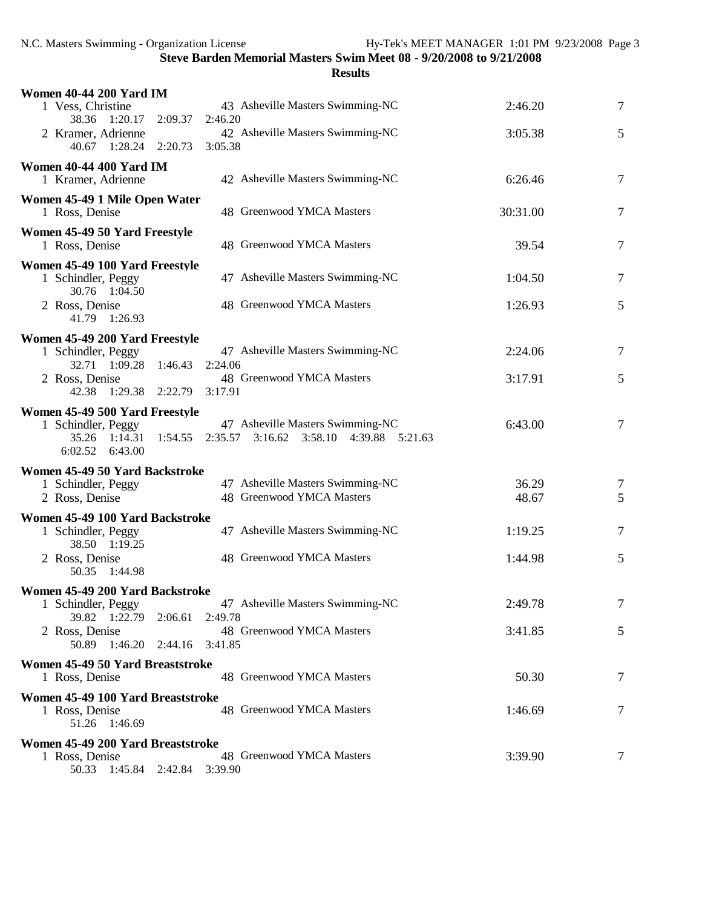| <b>Women 40-44 200 Yard IM</b>                                       |                                                                                                   |                |        |
|----------------------------------------------------------------------|---------------------------------------------------------------------------------------------------|----------------|--------|
| 1 Vess, Christine                                                    | 43 Asheville Masters Swimming-NC                                                                  | 2:46.20        | $\tau$ |
| 38.36 1:20.17 2:09.37<br>2 Kramer, Adrienne                          | 2:46.20<br>42 Asheville Masters Swimming-NC                                                       | 3:05.38        | 5      |
| 40.67 1:28.24 2:20.73 3:05.38                                        |                                                                                                   |                |        |
| <b>Women 40-44 400 Yard IM</b><br>1 Kramer, Adrienne                 | 42 Asheville Masters Swimming-NC                                                                  | 6:26.46        | $\tau$ |
| Women 45-49 1 Mile Open Water<br>1 Ross, Denise                      | 48 Greenwood YMCA Masters                                                                         | 30:31.00       | $\tau$ |
| Women 45-49 50 Yard Freestyle<br>1 Ross, Denise                      | 48 Greenwood YMCA Masters                                                                         | 39.54          | 7      |
| Women 45-49 100 Yard Freestyle                                       |                                                                                                   |                |        |
| 1 Schindler, Peggy<br>30.76 1:04.50                                  | 47 Asheville Masters Swimming-NC                                                                  | 1:04.50        | $\tau$ |
| 2 Ross, Denise<br>41.79 1:26.93                                      | 48 Greenwood YMCA Masters                                                                         | 1:26.93        | 5      |
| Women 45-49 200 Yard Freestyle                                       |                                                                                                   |                |        |
| 1 Schindler, Peggy<br>32.71 1:09.28 1:46.43 2:24.06                  | 47 Asheville Masters Swimming-NC                                                                  | 2:24.06        | 7      |
| 2 Ross, Denise<br>42.38 1:29.38 2:22.79 3:17.91                      | 48 Greenwood YMCA Masters                                                                         | 3:17.91        | 5      |
| Women 45-49 500 Yard Freestyle                                       |                                                                                                   |                |        |
| 1 Schindler, Peggy<br>6:02.52 6:43.00                                | 47 Asheville Masters Swimming-NC<br>35.26 1:14.31 1:54.55 2:35.57 3:16.62 3:58.10 4:39.88 5:21.63 | 6:43.00        | 7      |
| Women 45-49 50 Yard Backstroke                                       |                                                                                                   |                |        |
| 1 Schindler, Peggy<br>2 Ross, Denise                                 | 47 Asheville Masters Swimming-NC<br>48 Greenwood YMCA Masters                                     | 36.29<br>48.67 | 7<br>5 |
| Women 45-49 100 Yard Backstroke                                      |                                                                                                   |                |        |
| 1 Schindler, Peggy<br>38.50 1:19.25                                  | 47 Asheville Masters Swimming-NC                                                                  | 1:19.25        | 7      |
| 2 Ross, Denise<br>50.35 1:44.98                                      | 48 Greenwood YMCA Masters                                                                         | 1:44.98        | 5      |
| Women 45-49 200 Yard Backstroke                                      |                                                                                                   |                |        |
| 1 Schindler, Peggy<br>39.82 1:22.79                                  | 47 Asheville Masters Swimming-NC<br>2:49.78                                                       | 2:49.78        | 7      |
| 2:06.61<br>2 Ross, Denise<br>50.89 1:46.20<br>2:44.16                | 48 Greenwood YMCA Masters<br>3:41.85                                                              | 3:41.85        | 5      |
| Women 45-49 50 Yard Breaststroke                                     |                                                                                                   |                |        |
| 1 Ross, Denise                                                       | 48 Greenwood YMCA Masters                                                                         | 50.30          | 7      |
| Women 45-49 100 Yard Breaststroke<br>1 Ross, Denise<br>51.26 1:46.69 | 48 Greenwood YMCA Masters                                                                         | 1:46.69        | 7      |
| Women 45-49 200 Yard Breaststroke                                    |                                                                                                   |                |        |
| 1 Ross, Denise<br>50.33 1:45.84 2:42.84 3:39.90                      | 48 Greenwood YMCA Masters                                                                         | 3:39.90        | 7      |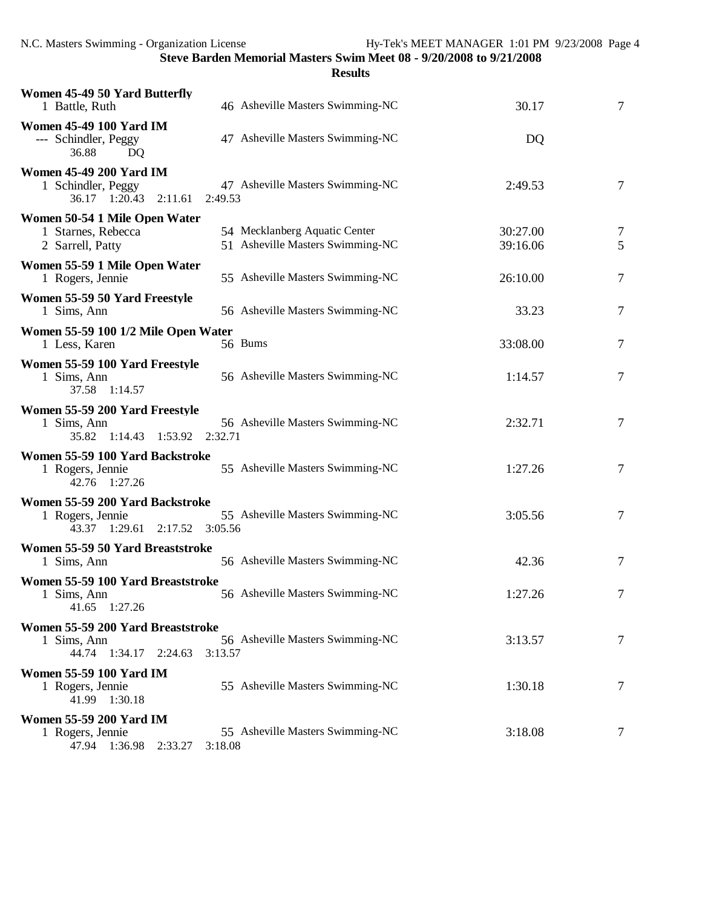| Women 45-49 50 Yard Butterfly<br>1 Battle, Ruth                                      | 46 Asheville Masters Swimming-NC                                  | 30.17                | 7              |
|--------------------------------------------------------------------------------------|-------------------------------------------------------------------|----------------------|----------------|
| <b>Women 45-49 100 Yard IM</b><br>--- Schindler, Peggy<br>36.88<br>DQ                | 47 Asheville Masters Swimming-NC                                  | DQ                   |                |
| <b>Women 45-49 200 Yard IM</b><br>1 Schindler, Peggy<br>36.17 1:20.43 2:11.61        | 47 Asheville Masters Swimming-NC<br>2:49.53                       | 2:49.53              | $\tau$         |
| Women 50-54 1 Mile Open Water<br>1 Starnes, Rebecca<br>2 Sarrell, Patty              | 54 Mecklanberg Aquatic Center<br>51 Asheville Masters Swimming-NC | 30:27.00<br>39:16.06 | 7<br>5         |
| Women 55-59 1 Mile Open Water<br>1 Rogers, Jennie                                    | 55 Asheville Masters Swimming-NC                                  | 26:10.00             | $\tau$         |
| Women 55-59 50 Yard Freestyle<br>1 Sims, Ann                                         | 56 Asheville Masters Swimming-NC                                  | 33.23                | 7              |
| Women 55-59 100 1/2 Mile Open Water<br>1 Less, Karen                                 | 56 Bums                                                           | 33:08.00             | 7              |
| Women 55-59 100 Yard Freestyle<br>1 Sims, Ann<br>37.58 1:14.57                       | 56 Asheville Masters Swimming-NC                                  | 1:14.57              | $\tau$         |
| Women 55-59 200 Yard Freestyle<br>1 Sims, Ann<br>35.82 1:14.43 1:53.92 2:32.71       | 56 Asheville Masters Swimming-NC                                  | 2:32.71              | 7              |
| Women 55-59 100 Yard Backstroke<br>1 Rogers, Jennie<br>42.76 1:27.26                 | 55 Asheville Masters Swimming-NC                                  | 1:27.26              | $\tau$         |
| Women 55-59 200 Yard Backstroke<br>1 Rogers, Jennie<br>43.37 1:29.61 2:17.52 3:05.56 | 55 Asheville Masters Swimming-NC                                  | 3:05.56              | $\overline{7}$ |
| Women 55-59 50 Yard Breaststroke<br>1 Sims, Ann                                      | 56 Asheville Masters Swimming-NC                                  | 42.36                | 7              |
| Women 55-59 100 Yard Breaststroke<br>1 Sims, Ann<br>41.65 1:27.26                    | 56 Asheville Masters Swimming-NC                                  | 1:27.26              | 7              |
| Women 55-59 200 Yard Breaststroke<br>1 Sims, Ann<br>44.74 1:34.17 2:24.63            | 56 Asheville Masters Swimming-NC<br>3:13.57                       | 3:13.57              | 7              |
| <b>Women 55-59 100 Yard IM</b><br>1 Rogers, Jennie<br>41.99 1:30.18                  | 55 Asheville Masters Swimming-NC                                  | 1:30.18              | 7              |
| Women 55-59 200 Yard IM<br>1 Rogers, Jennie<br>47.94 1:36.98 2:33.27                 | 55 Asheville Masters Swimming-NC<br>3:18.08                       | 3:18.08              | 7              |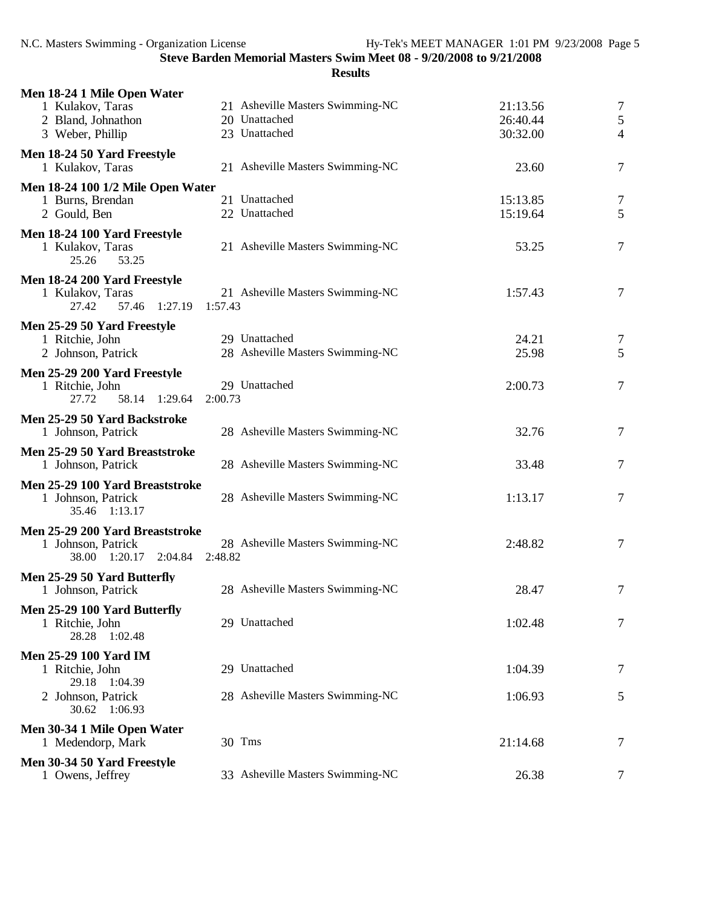| Men 18-24 1 Mile Open Water                                        |                                             |          |                |
|--------------------------------------------------------------------|---------------------------------------------|----------|----------------|
| 1 Kulakov, Taras                                                   | 21 Asheville Masters Swimming-NC            | 21:13.56 | $\overline{7}$ |
| 2 Bland, Johnathon                                                 | 20 Unattached                               | 26:40.44 | 5              |
| 3 Weber, Phillip                                                   | 23 Unattached                               | 30:32.00 | $\overline{4}$ |
| Men 18-24 50 Yard Freestyle                                        |                                             |          |                |
| 1 Kulakov, Taras                                                   | 21 Asheville Masters Swimming-NC            | 23.60    | $\tau$         |
| Men 18-24 100 1/2 Mile Open Water                                  |                                             |          |                |
| 1 Burns, Brendan                                                   | 21 Unattached                               | 15:13.85 | $\tau$         |
| 2 Gould, Ben                                                       | 22 Unattached                               | 15:19.64 | 5              |
| Men 18-24 100 Yard Freestyle<br>1 Kulakov, Taras<br>25.26<br>53.25 | 21 Asheville Masters Swimming-NC            | 53.25    | $\tau$         |
| Men 18-24 200 Yard Freestyle                                       |                                             |          |                |
| 1 Kulakov, Taras                                                   | 21 Asheville Masters Swimming-NC            | 1:57.43  | $\overline{7}$ |
| 1:27.19<br>27.42<br>57.46                                          | 1:57.43                                     |          |                |
| Men 25-29 50 Yard Freestyle                                        |                                             |          |                |
| 1 Ritchie, John                                                    | 29 Unattached                               | 24.21    | 7              |
| 2 Johnson, Patrick                                                 | 28 Asheville Masters Swimming-NC            | 25.98    | 5              |
| Men 25-29 200 Yard Freestyle                                       |                                             |          |                |
| 1 Ritchie, John                                                    | 29 Unattached                               | 2:00.73  | $\overline{7}$ |
| 58.14 1:29.64<br>27.72                                             | 2:00.73                                     |          |                |
| Men 25-29 50 Yard Backstroke                                       |                                             |          |                |
| 1 Johnson, Patrick                                                 | 28 Asheville Masters Swimming-NC            | 32.76    | $\tau$         |
|                                                                    |                                             |          |                |
| Men 25-29 50 Yard Breaststroke<br>1 Johnson, Patrick               | 28 Asheville Masters Swimming-NC            | 33.48    | $\tau$         |
|                                                                    |                                             |          |                |
| Men 25-29 100 Yard Breaststroke                                    |                                             |          |                |
| 1 Johnson, Patrick<br>35.46 1:13.17                                | 28 Asheville Masters Swimming-NC            | 1:13.17  | $\tau$         |
|                                                                    |                                             |          |                |
| Men 25-29 200 Yard Breaststroke                                    |                                             |          |                |
| 1 Johnson, Patrick<br>38.00 1:20.17 2:04.84                        | 28 Asheville Masters Swimming-NC<br>2:48.82 | 2:48.82  | $\tau$         |
|                                                                    |                                             |          |                |
| Men 25-29 50 Yard Butterfly                                        |                                             |          |                |
| 1 Johnson, Patrick                                                 | 28 Asheville Masters Swimming-NC            | 28.47    | $\tau$         |
| Men 25-29 100 Yard Butterfly                                       |                                             |          |                |
| 1 Ritchie, John                                                    | 29 Unattached                               | 1:02.48  | $\tau$         |
| 28.28<br>1:02.48                                                   |                                             |          |                |
| <b>Men 25-29 100 Yard IM</b>                                       |                                             |          |                |
| 1 Ritchie, John                                                    | 29 Unattached                               | 1:04.39  | $\tau$         |
| 29.18 1:04.39                                                      |                                             |          |                |
| 2 Johnson, Patrick<br>30.62 1:06.93                                | 28 Asheville Masters Swimming-NC            | 1:06.93  | 5              |
|                                                                    |                                             |          |                |
| Men 30-34 1 Mile Open Water                                        |                                             |          |                |
| 1 Medendorp, Mark                                                  | 30 Tms                                      | 21:14.68 | 7              |
| Men 30-34 50 Yard Freestyle                                        |                                             |          |                |
| 1 Owens, Jeffrey                                                   | 33 Asheville Masters Swimming-NC            | 26.38    | 7              |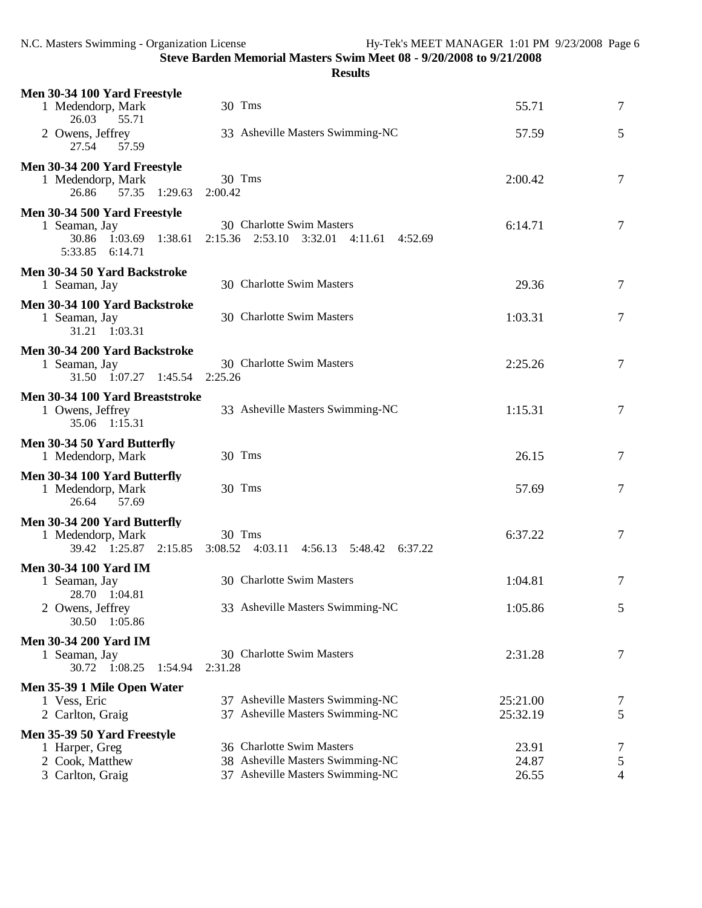| Men 30-34 100 Yard Freestyle<br>1 Medendorp, Mark            | 30 Tms                                                                     | 55.71          | 7               |
|--------------------------------------------------------------|----------------------------------------------------------------------------|----------------|-----------------|
| 26.03<br>55.71                                               |                                                                            |                |                 |
| 2 Owens, Jeffrey<br>27.54<br>57.59                           | 33 Asheville Masters Swimming-NC                                           | 57.59          | 5               |
| Men 30-34 200 Yard Freestyle                                 | 30 Tms                                                                     |                | $\overline{7}$  |
| 1 Medendorp, Mark<br>57.35<br>1:29.63<br>26.86               | 2:00.42                                                                    | 2:00.42        |                 |
| Men 30-34 500 Yard Freestyle                                 |                                                                            |                |                 |
| 1 Seaman, Jay<br>30.86 1:03.69<br>1:38.61<br>5:33.85 6:14.71 | 30 Charlotte Swim Masters<br>2:15.36 2:53.10 3:32.01<br>4:11.61<br>4:52.69 | 6:14.71        | $\overline{7}$  |
| Men 30-34 50 Yard Backstroke                                 |                                                                            |                |                 |
| 1 Seaman, Jay                                                | 30 Charlotte Swim Masters                                                  | 29.36          | 7               |
| Men 30-34 100 Yard Backstroke<br>1 Seaman, Jay               | 30 Charlotte Swim Masters                                                  | 1:03.31        | $\overline{7}$  |
| 31.21 1:03.31                                                |                                                                            |                |                 |
| Men 30-34 200 Yard Backstroke                                | 30 Charlotte Swim Masters                                                  | 2:25.26        |                 |
| 1 Seaman, Jay<br>31.50 1:07.27 1:45.54                       | 2:25.26                                                                    |                | $\overline{7}$  |
| Men 30-34 100 Yard Breaststroke                              |                                                                            |                |                 |
| 1 Owens, Jeffrey<br>35.06 1:15.31                            | 33 Asheville Masters Swimming-NC                                           | 1:15.31        | 7               |
| Men 30-34 50 Yard Butterfly<br>1 Medendorp, Mark             | 30 Tms                                                                     | 26.15          | 7               |
| Men 30-34 100 Yard Butterfly                                 |                                                                            |                |                 |
| 1 Medendorp, Mark<br>26.64<br>57.69                          | 30 Tms                                                                     | 57.69          | $\overline{7}$  |
| Men 30-34 200 Yard Butterfly                                 |                                                                            |                |                 |
| 1 Medendorp, Mark<br>39.42 1:25.87 2:15.85                   | $30$ Tms<br>3:08.52 4:03.11 4:56.13 5:48.42 6:37.22                        | 6:37.22        | $\overline{7}$  |
| <b>Men 30-34 100 Yard IM</b>                                 |                                                                            |                |                 |
| 1 Seaman, Jay<br>28.70 1:04.81                               | 30 Charlotte Swim Masters                                                  | 1:04.81        | 7               |
| 2 Owens, Jeffrey                                             | 33 Asheville Masters Swimming-NC                                           | 1:05.86        | 5               |
| 30.50 1:05.86                                                |                                                                            |                |                 |
| <b>Men 30-34 200 Yard IM</b><br>1 Seaman, Jay                | 30 Charlotte Swim Masters                                                  | 2:31.28        | $\overline{7}$  |
| 30.72 1:08.25<br>1:54.94                                     | 2:31.28                                                                    |                |                 |
| Men 35-39 1 Mile Open Water<br>1 Vess, Eric                  | 37 Asheville Masters Swimming-NC                                           | 25:21.00       |                 |
| 2 Carlton, Graig                                             | 37 Asheville Masters Swimming-NC                                           | 25:32.19       | 7<br>5          |
| Men 35-39 50 Yard Freestyle                                  |                                                                            |                |                 |
| 1 Harper, Greg                                               | 36 Charlotte Swim Masters<br>38 Asheville Masters Swimming-NC              | 23.91<br>24.87 | 7               |
| 2 Cook, Matthew<br>3 Carlton, Graig                          | 37 Asheville Masters Swimming-NC                                           | 26.55          | $\sqrt{5}$<br>4 |
|                                                              |                                                                            |                |                 |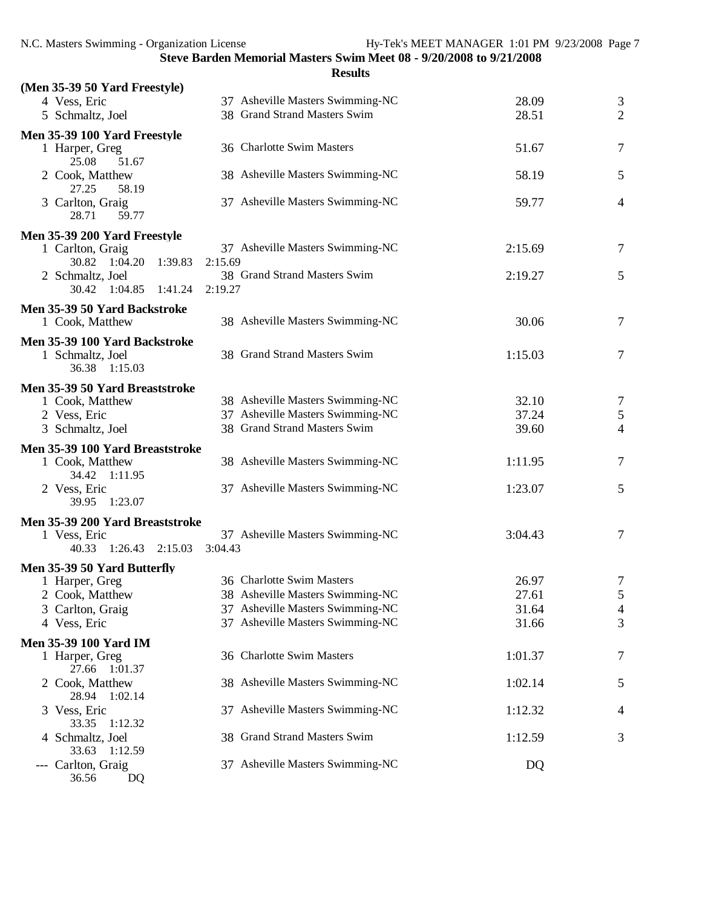|                                                   | <b>Results</b>                                                |                |                 |
|---------------------------------------------------|---------------------------------------------------------------|----------------|-----------------|
| (Men 35-39 50 Yard Freestyle)                     |                                                               |                |                 |
| 4 Vess, Eric                                      | 37 Asheville Masters Swimming-NC                              | 28.09          | 3               |
| 5 Schmaltz, Joel                                  | 38 Grand Strand Masters Swim                                  | 28.51          | $\overline{2}$  |
| Men 35-39 100 Yard Freestyle                      |                                                               |                |                 |
| 1 Harper, Greg                                    | 36 Charlotte Swim Masters                                     | 51.67          | 7               |
| 25.08<br>51.67<br>2 Cook, Matthew                 | 38 Asheville Masters Swimming-NC                              | 58.19          | 5               |
| 27.25<br>58.19                                    |                                                               |                |                 |
| 3 Carlton, Graig                                  | 37 Asheville Masters Swimming-NC                              | 59.77          | 4               |
| 28.71<br>59.77                                    |                                                               |                |                 |
| Men 35-39 200 Yard Freestyle                      |                                                               |                |                 |
| 1 Carlton, Graig                                  | 37 Asheville Masters Swimming-NC                              | 2:15.69        | 7               |
| 30.82 1:04.20<br>1:39.83                          | 2:15.69                                                       |                |                 |
| 2 Schmaltz, Joel<br>30.42 1:04.85 1:41.24         | 38 Grand Strand Masters Swim<br>2:19.27                       | 2:19.27        | 5               |
|                                                   |                                                               |                |                 |
| Men 35-39 50 Yard Backstroke                      | 38 Asheville Masters Swimming-NC                              | 30.06          | 7               |
| 1 Cook, Matthew                                   |                                                               |                |                 |
| Men 35-39 100 Yard Backstroke                     | 38 Grand Strand Masters Swim                                  |                |                 |
| 1 Schmaltz, Joel<br>36.38 1:15.03                 |                                                               | 1:15.03        | $\overline{7}$  |
|                                                   |                                                               |                |                 |
| Men 35-39 50 Yard Breaststroke<br>1 Cook, Matthew | 38 Asheville Masters Swimming-NC                              | 32.10          | 7               |
| 2 Vess, Eric                                      | 37 Asheville Masters Swimming-NC                              | 37.24          | $5\overline{)}$ |
| 3 Schmaltz, Joel                                  | 38 Grand Strand Masters Swim                                  | 39.60          | $\overline{4}$  |
| Men 35-39 100 Yard Breaststroke                   |                                                               |                |                 |
| 1 Cook, Matthew                                   | 38 Asheville Masters Swimming-NC                              | 1:11.95        | $\overline{7}$  |
| 34.42 1:11.95                                     |                                                               |                |                 |
| 2 Vess, Eric                                      | 37 Asheville Masters Swimming-NC                              | 1:23.07        | 5               |
| 39.95 1:23.07                                     |                                                               |                |                 |
| Men 35-39 200 Yard Breaststroke                   |                                                               |                |                 |
| 1 Vess, Eric                                      | 37 Asheville Masters Swimming-NC                              | 3:04.43        | 7               |
| 40.33 1:26.43 2:15.03                             | 3:04.43                                                       |                |                 |
| Men 35-39 50 Yard Butterfly                       |                                                               |                |                 |
| 1 Harper, Greg<br>2 Cook, Matthew                 | 36 Charlotte Swim Masters<br>38 Asheville Masters Swimming-NC | 26.97<br>27.61 | 7<br>5          |
| 3 Carlton, Graig                                  | 37 Asheville Masters Swimming-NC                              | 31.64          | $\overline{4}$  |
| 4 Vess, Eric                                      | 37 Asheville Masters Swimming-NC                              | 31.66          | 3               |
| <b>Men 35-39 100 Yard IM</b>                      |                                                               |                |                 |
| 1 Harper, Greg                                    | 36 Charlotte Swim Masters                                     | 1:01.37        | 7               |
| 27.66<br>1:01.37                                  |                                                               |                |                 |
| 2 Cook, Matthew                                   | 38 Asheville Masters Swimming-NC                              | 1:02.14        | 5               |
| 28.94 1:02.14                                     |                                                               |                |                 |
| 3 Vess, Eric<br>33.35 1:12.32                     | 37 Asheville Masters Swimming-NC                              | 1:12.32        | 4               |
| 4 Schmaltz, Joel                                  | 38 Grand Strand Masters Swim                                  | 1:12.59        | 3               |
| 33.63 1:12.59                                     |                                                               |                |                 |
| Carlton, Graig                                    | 37 Asheville Masters Swimming-NC                              | DQ             |                 |
| 36.56<br>DQ                                       |                                                               |                |                 |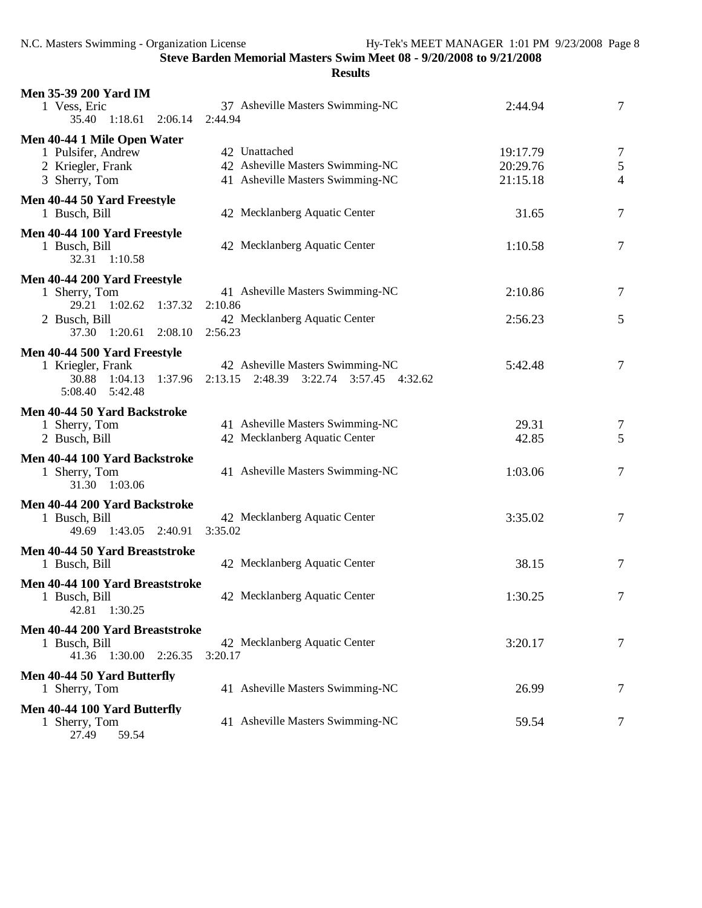| <b>Men 35-39 200 Yard IM</b>                   |                                             |          |                |
|------------------------------------------------|---------------------------------------------|----------|----------------|
| 1 Vess, Eric<br>1:18.61<br>35.40<br>2:06.14    | 37 Asheville Masters Swimming-NC<br>2:44.94 | 2:44.94  | 7              |
| Men 40-44 1 Mile Open Water                    |                                             |          |                |
| 1 Pulsifer, Andrew                             | 42 Unattached                               | 19:17.79 | 7              |
| 2 Kriegler, Frank                              | 42 Asheville Masters Swimming-NC            | 20:29.76 | $\mathfrak{S}$ |
| 3 Sherry, Tom                                  | 41 Asheville Masters Swimming-NC            | 21:15.18 | 4              |
| Men 40-44 50 Yard Freestyle<br>1 Busch, Bill   | 42 Mecklanberg Aquatic Center               | 31.65    | $\tau$         |
| Men 40-44 100 Yard Freestyle                   |                                             |          |                |
| 1 Busch, Bill<br>1:10.58<br>32.31              | 42 Mecklanberg Aquatic Center               | 1:10.58  | $\tau$         |
| Men 40-44 200 Yard Freestyle                   |                                             |          |                |
| 1 Sherry, Tom                                  | 41 Asheville Masters Swimming-NC            | 2:10.86  | 7              |
| 29.21 1:02.62 1:37.32                          | 2:10.86                                     |          |                |
| 2 Busch, Bill                                  | 42 Mecklanberg Aquatic Center               | 2:56.23  | 5              |
| 37.30 1:20.61 2:08.10                          | 2:56.23                                     |          |                |
| Men 40-44 500 Yard Freestyle                   |                                             |          |                |
| 1 Kriegler, Frank                              | 42 Asheville Masters Swimming-NC            | 5:42.48  | $\tau$         |
| 30.88<br>1:04.13<br>1:37.96                    | 2:13.15<br>2:48.39 3:22.74 3:57.45 4:32.62  |          |                |
| 5:08.40<br>5:42.48                             |                                             |          |                |
| Men 40-44 50 Yard Backstroke                   |                                             |          |                |
| 1 Sherry, Tom                                  | 41 Asheville Masters Swimming-NC            | 29.31    | 7              |
| 2 Busch, Bill                                  | 42 Mecklanberg Aquatic Center               | 42.85    | 5              |
| Men 40-44 100 Yard Backstroke                  |                                             |          |                |
| 1 Sherry, Tom                                  | 41 Asheville Masters Swimming-NC            | 1:03.06  | 7              |
| 31.30 1:03.06                                  |                                             |          |                |
|                                                |                                             |          |                |
| Men 40-44 200 Yard Backstroke<br>1 Busch, Bill | 42 Mecklanberg Aquatic Center               | 3:35.02  | $\tau$         |
| 1:43.05 2:40.91<br>49.69                       | 3:35.02                                     |          |                |
|                                                |                                             |          |                |
| Men 40-44 50 Yard Breaststroke                 |                                             |          |                |
| 1 Busch, Bill                                  | 42 Mecklanberg Aquatic Center               | 38.15    | 7              |
| Men 40-44 100 Yard Breaststroke                |                                             |          |                |
| 1 Busch, Bill                                  | 42 Mecklanberg Aquatic Center               | 1:30.25  | 7              |
| 42.81<br>1:30.25                               |                                             |          |                |
| Men 40-44 200 Yard Breaststroke                |                                             |          |                |
| 1 Busch, Bill                                  | 42 Mecklanberg Aquatic Center               | 3:20.17  | 7              |
| 41.36 1:30.00 2:26.35                          | 3:20.17                                     |          |                |
| Men 40-44 50 Yard Butterfly                    |                                             |          |                |
| 1 Sherry, Tom                                  | 41 Asheville Masters Swimming-NC            | 26.99    | 7              |
| Men 40-44 100 Yard Butterfly                   |                                             |          |                |
| 1 Sherry, Tom                                  | 41 Asheville Masters Swimming-NC            | 59.54    | 7              |
| 59.54<br>27.49                                 |                                             |          |                |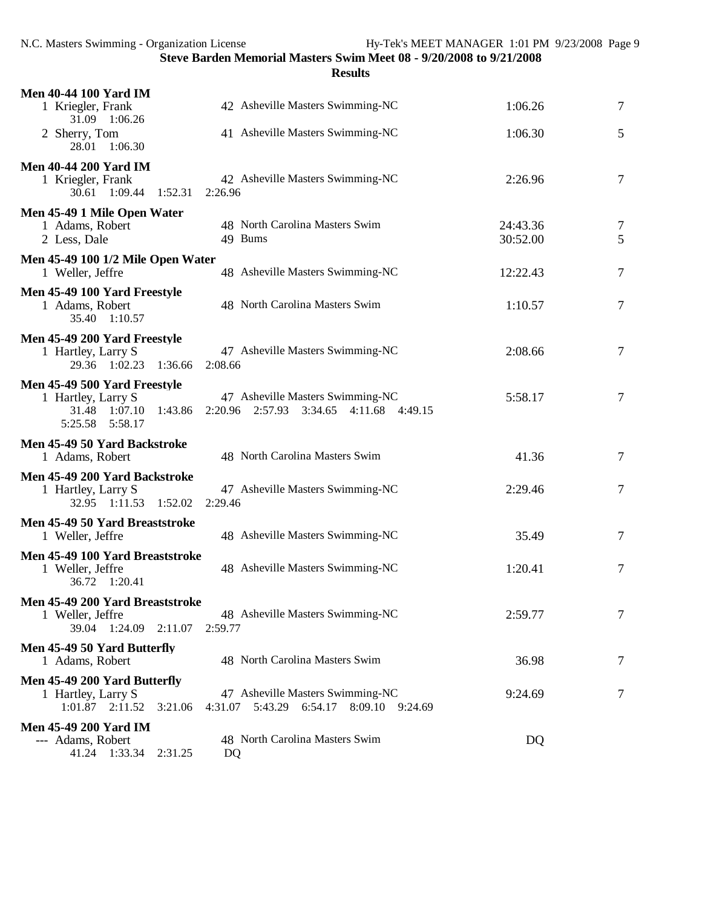| <b>Men 40-44 100 Yard IM</b>                                                         |                                                                                |                      |                |
|--------------------------------------------------------------------------------------|--------------------------------------------------------------------------------|----------------------|----------------|
| 1 Kriegler, Frank<br>31.09 1:06.26                                                   | 42 Asheville Masters Swimming-NC                                               | 1:06.26              | 7              |
| 2 Sherry, Tom<br>28.01<br>1:06.30                                                    | 41 Asheville Masters Swimming-NC                                               | 1:06.30              | 5              |
| <b>Men 40-44 200 Yard IM</b><br>1 Kriegler, Frank<br>30.61 1:09.44 1:52.31 2:26.96   | 42 Asheville Masters Swimming-NC                                               | 2:26.96              | 7              |
| Men 45-49 1 Mile Open Water<br>1 Adams, Robert<br>2 Less, Dale                       | 48 North Carolina Masters Swim<br>49 Bums                                      | 24:43.36<br>30:52.00 | 7<br>5         |
| Men 45-49 100 1/2 Mile Open Water<br>1 Weller, Jeffre                                | 48 Asheville Masters Swimming-NC                                               | 12:22.43             | 7              |
| Men 45-49 100 Yard Freestyle<br>1 Adams, Robert<br>35.40 1:10.57                     | 48 North Carolina Masters Swim                                                 | 1:10.57              | 7              |
| Men 45-49 200 Yard Freestyle<br>1 Hartley, Larry S<br>29.36 1:02.23 1:36.66          | 47 Asheville Masters Swimming-NC<br>2:08.66                                    | 2:08.66              | 7              |
| Men 45-49 500 Yard Freestyle<br>1 Hartley, Larry S<br>31.48 1:07.10<br>1:43.86       | 47 Asheville Masters Swimming-NC<br>2:20.96 2:57.93 3:34.65 4:11.68 4:49.15    | 5:58.17              | 7              |
| Men 45-49 50 Yard Backstroke<br>1 Adams, Robert                                      | 48 North Carolina Masters Swim                                                 | 41.36                | $\overline{7}$ |
| Men 45-49 200 Yard Backstroke<br>1 Hartley, Larry S<br>32.95 1:11.53 1:52.02         | 47 Asheville Masters Swimming-NC<br>2:29.46                                    | 2:29.46              | 7              |
| Men 45-49 50 Yard Breaststroke<br>1 Weller, Jeffre                                   | 48 Asheville Masters Swimming-NC                                               | 35.49                | 7              |
| Men 45-49 100 Yard Breaststroke<br>1 Weller, Jeffre<br>36.72 1:20.41                 | 48 Asheville Masters Swimming-NC                                               | 1:20.41              | 7              |
| Men 45-49 200 Yard Breaststroke<br>1 Weller, Jeffre<br>39.04<br>$1:24.09$ $2:11.07$  | 48 Asheville Masters Swimming-NC<br>2:59.77                                    | 2:59.77              | $\tau$         |
| Men 45-49 50 Yard Butterfly<br>1 Adams, Robert                                       | 48 North Carolina Masters Swim                                                 | 36.98                | 7              |
| Men 45-49 200 Yard Butterfly<br>1 Hartley, Larry S<br>$1:01.87$ $2:11.52$<br>3:21.06 | 47 Asheville Masters Swimming-NC<br>4:31.07 5:43.29 6:54.17 8:09.10<br>9:24.69 | 9:24.69              | 7              |
| <b>Men 45-49 200 Yard IM</b><br>--- Adams, Robert<br>1:33.34<br>2:31.25<br>41.24     | 48 North Carolina Masters Swim<br>DQ                                           | DQ                   |                |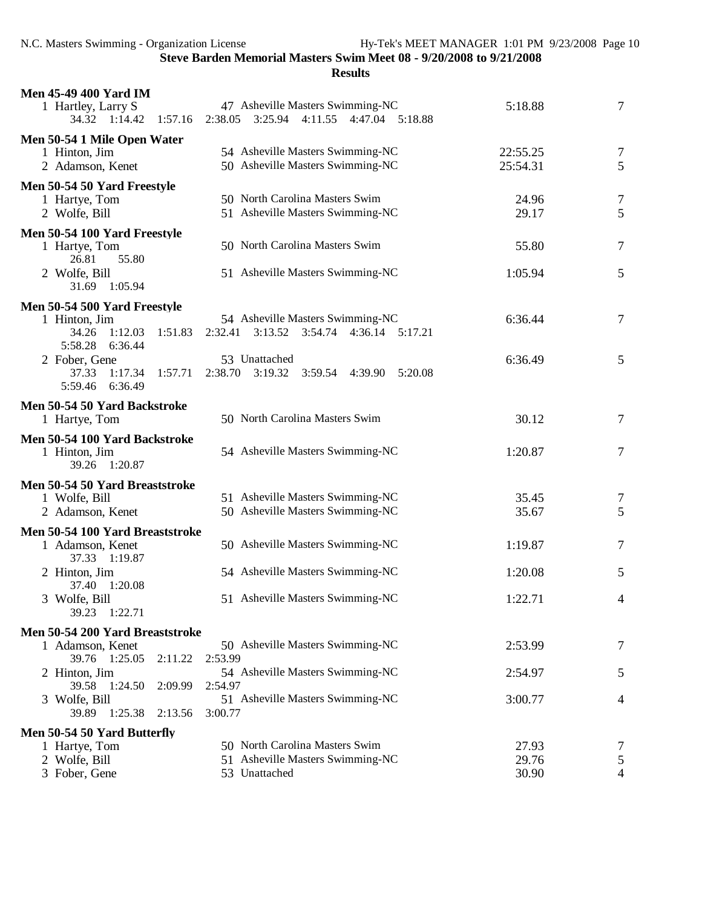| <b>Men 45-49 400 Yard IM</b>                      |                                                                             |          |                |
|---------------------------------------------------|-----------------------------------------------------------------------------|----------|----------------|
| 1 Hartley, Larry S<br>34.32 1:14.42 1:57.16       | 47 Asheville Masters Swimming-NC<br>2:38.05 3:25.94 4:11.55 4:47.04 5:18.88 | 5:18.88  | 7              |
| Men 50-54 1 Mile Open Water                       |                                                                             |          |                |
| 1 Hinton, Jim                                     | 54 Asheville Masters Swimming-NC                                            | 22:55.25 | 7              |
| 2 Adamson, Kenet                                  | 50 Asheville Masters Swimming-NC                                            | 25:54.31 | 5              |
| Men 50-54 50 Yard Freestyle                       |                                                                             |          |                |
| 1 Hartye, Tom                                     | 50 North Carolina Masters Swim                                              | 24.96    | 7              |
| 2 Wolfe, Bill                                     | 51 Asheville Masters Swimming-NC                                            | 29.17    | 5              |
| Men 50-54 100 Yard Freestyle                      |                                                                             |          |                |
| 1 Hartye, Tom                                     | 50 North Carolina Masters Swim                                              | 55.80    | 7              |
| 55.80<br>26.81                                    |                                                                             |          |                |
| 2 Wolfe, Bill                                     | 51 Asheville Masters Swimming-NC                                            | 1:05.94  | 5              |
| 31.69 1:05.94                                     |                                                                             |          |                |
| Men 50-54 500 Yard Freestyle                      |                                                                             |          |                |
| 1 Hinton, Jim                                     | 54 Asheville Masters Swimming-NC                                            | 6:36.44  | 7              |
| 34.26<br>1:12.03<br>1:51.83                       | $3:13.52$ $3:54.74$<br>4:36.14 5:17.21<br>2:32.41                           |          |                |
| 5:58.28<br>6:36.44                                |                                                                             |          |                |
| 2 Fober, Gene                                     | 53 Unattached                                                               | 6:36.49  | 5              |
| 37.33<br>1:17.34<br>1:57.71<br>6:36.49<br>5:59.46 | $2:38.70$ $3:19.32$<br>3:59.54 4:39.90<br>5:20.08                           |          |                |
|                                                   |                                                                             |          |                |
| Men 50-54 50 Yard Backstroke                      | 50 North Carolina Masters Swim                                              |          |                |
| 1 Hartye, Tom                                     |                                                                             | 30.12    | $\tau$         |
| Men 50-54 100 Yard Backstroke                     |                                                                             |          |                |
| 1 Hinton, Jim<br>39.26 1:20.87                    | 54 Asheville Masters Swimming-NC                                            | 1:20.87  | 7              |
|                                                   |                                                                             |          |                |
| Men 50-54 50 Yard Breaststroke                    |                                                                             |          |                |
| 1 Wolfe, Bill                                     | 51 Asheville Masters Swimming-NC                                            | 35.45    | 7              |
| 2 Adamson, Kenet                                  | 50 Asheville Masters Swimming-NC                                            | 35.67    | 5              |
| Men 50-54 100 Yard Breaststroke                   |                                                                             |          |                |
| 1 Adamson, Kenet                                  | 50 Asheville Masters Swimming-NC                                            | 1:19.87  | 7              |
| 37.33 1:19.87                                     | 54 Asheville Masters Swimming-NC                                            |          |                |
| 2 Hinton, Jim<br>37.40 1:20.08                    |                                                                             | 1:20.08  | 5              |
| 3 Wolfe, Bill                                     | 51 Asheville Masters Swimming-NC                                            | 1:22.71  | $\overline{4}$ |
| 39.23<br>1:22.71                                  |                                                                             |          |                |
| Men 50-54 200 Yard Breaststroke                   |                                                                             |          |                |
| 1 Adamson, Kenet                                  | 50 Asheville Masters Swimming-NC                                            | 2:53.99  | 7              |
| 39.76 1:25.05<br>2:11.22                          | 2:53.99                                                                     |          |                |
| 2 Hinton, Jim                                     | 54 Asheville Masters Swimming-NC                                            | 2:54.97  | 5              |
| 39.58<br>1:24.50<br>2:09.99                       | 2:54.97                                                                     |          |                |
| 3 Wolfe, Bill                                     | 51 Asheville Masters Swimming-NC                                            | 3:00.77  | 4              |
| 1:25.38<br>39.89<br>2:13.56                       | 3:00.77                                                                     |          |                |
| Men 50-54 50 Yard Butterfly                       |                                                                             |          |                |
| 1 Hartye, Tom                                     | 50 North Carolina Masters Swim                                              | 27.93    | 7              |
| 2 Wolfe, Bill                                     | 51 Asheville Masters Swimming-NC                                            | 29.76    | 5              |
| 3 Fober, Gene                                     | 53 Unattached                                                               | 30.90    | $\overline{4}$ |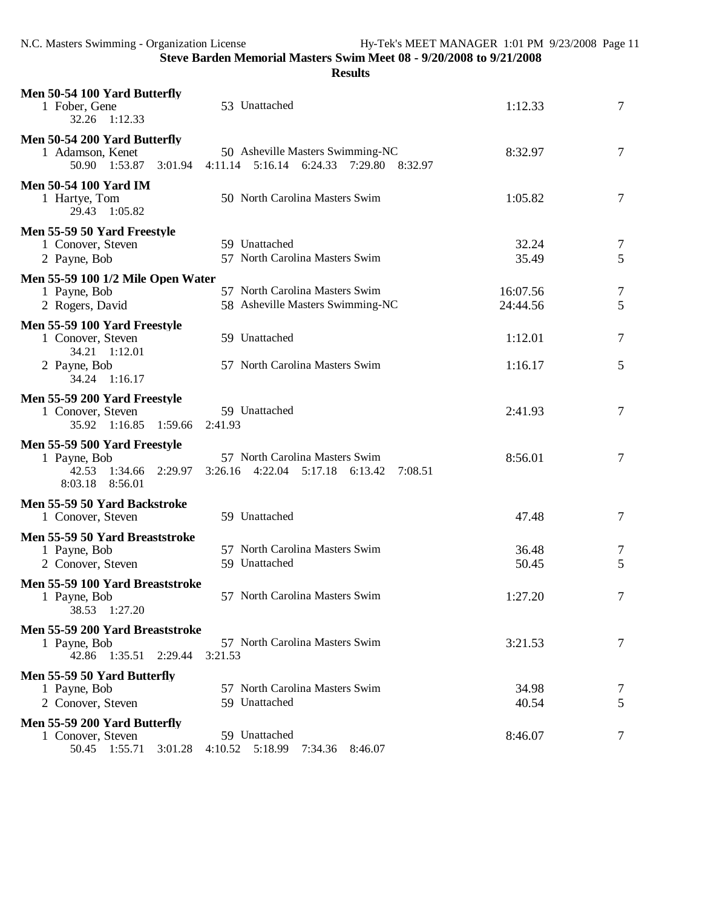| Men 50-54 100 Yard Butterfly<br>1 Fober, Gene<br>1:12.33<br>32.26                           | 53 Unattached                                                                | 1:12.33              | $\tau$              |
|---------------------------------------------------------------------------------------------|------------------------------------------------------------------------------|----------------------|---------------------|
| Men 50-54 200 Yard Butterfly<br>1 Adamson, Kenet<br>50.90 1:53.87 3:01.94                   | 50 Asheville Masters Swimming-NC<br>4:11.14 5:16.14 6:24.33 7:29.80 8:32.97  | 8:32.97              | $\overline{7}$      |
| <b>Men 50-54 100 Yard IM</b><br>1 Hartye, Tom<br>29.43 1:05.82                              | 50 North Carolina Masters Swim                                               | 1:05.82              | $\tau$              |
| Men 55-59 50 Yard Freestyle<br>1 Conover, Steven<br>2 Payne, Bob                            | 59 Unattached<br>57 North Carolina Masters Swim                              | 32.24<br>35.49       | $\overline{7}$<br>5 |
| Men 55-59 100 1/2 Mile Open Water<br>1 Payne, Bob<br>2 Rogers, David                        | 57 North Carolina Masters Swim<br>58 Asheville Masters Swimming-NC           | 16:07.56<br>24:44.56 | $\overline{7}$<br>5 |
| Men 55-59 100 Yard Freestyle<br>1 Conover, Steven<br>34.21 1:12.01                          | 59 Unattached                                                                | 1:12.01              | 7                   |
| 2 Payne, Bob<br>34.24 1:16.17                                                               | 57 North Carolina Masters Swim                                               | 1:16.17              | 5                   |
| Men 55-59 200 Yard Freestyle<br>1 Conover, Steven<br>35.92 1:16.85 1:59.66                  | 59 Unattached<br>2:41.93                                                     | 2:41.93              | $\overline{7}$      |
| Men 55-59 500 Yard Freestyle<br>1 Payne, Bob<br>42.53 1:34.66 2:29.97<br>8:03.18<br>8:56.01 | 57 North Carolina Masters Swim<br>3:26.16 4:22.04 5:17.18 6:13.42<br>7:08.51 | 8:56.01              | $\overline{7}$      |
| Men 55-59 50 Yard Backstroke<br>1 Conover, Steven                                           | 59 Unattached                                                                | 47.48                | 7                   |
| Men 55-59 50 Yard Breaststroke<br>1 Payne, Bob<br>2 Conover, Steven                         | 57 North Carolina Masters Swim<br>59 Unattached                              | 36.48<br>50.45       | 7<br>5              |
| Men 55-59 100 Yard Breaststroke<br>1 Payne, Bob<br>1:27.20<br>38.53                         | 57 North Carolina Masters Swim                                               | 1:27.20              | 7                   |
| Men 55-59 200 Yard Breaststroke<br>1 Payne, Bob<br>42.86 1:35.51 2:29.44                    | 57 North Carolina Masters Swim<br>3:21.53                                    | 3:21.53              | 7                   |
| Men 55-59 50 Yard Butterfly<br>1 Payne, Bob<br>2 Conover, Steven                            | 57 North Carolina Masters Swim<br>59 Unattached                              | 34.98<br>40.54       | 7<br>5              |
| Men 55-59 200 Yard Butterfly<br>1 Conover, Steven<br>50.45 1:55.71<br>3:01.28               | 59 Unattached<br>5:18.99<br>4:10.52<br>7:34.36<br>8:46.07                    | 8:46.07              | 7                   |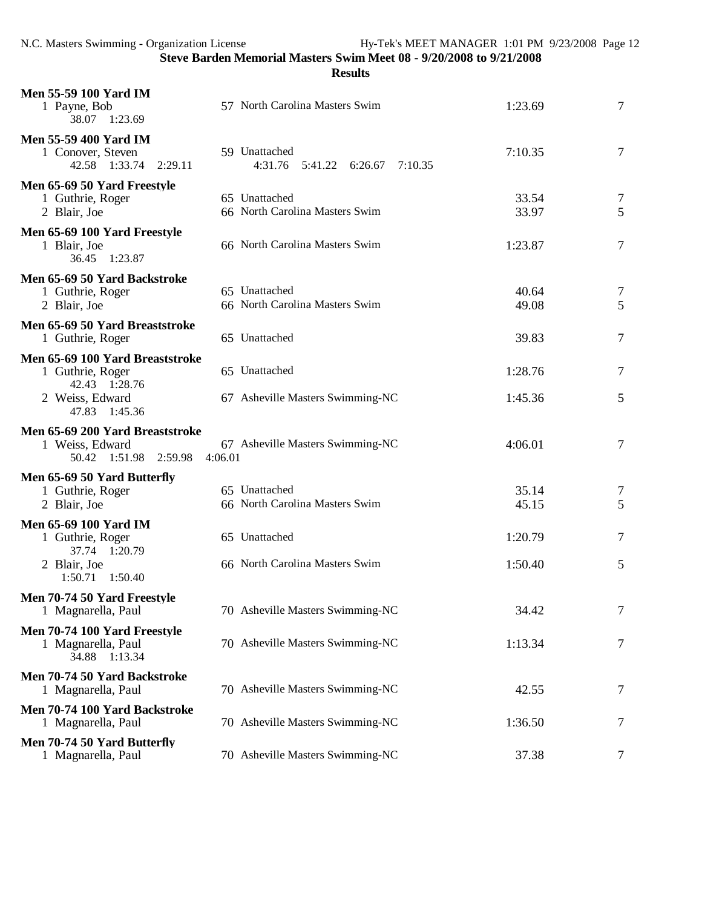```
Results
```

| <b>Men 55-59 100 Yard IM</b><br>1 Payne, Bob<br>38.07 1:23.69               | 57 North Carolina Masters Swim                      | 1:23.69        | 7      |
|-----------------------------------------------------------------------------|-----------------------------------------------------|----------------|--------|
| <b>Men 55-59 400 Yard IM</b><br>1 Conover, Steven<br>42.58 1:33.74 2:29.11  | 59 Unattached<br>4:31.76  5:41.22  6:26.67  7:10.35 | 7:10.35        | 7      |
| Men 65-69 50 Yard Freestyle<br>1 Guthrie, Roger<br>2 Blair, Joe             | 65 Unattached<br>66 North Carolina Masters Swim     | 33.54<br>33.97 | 7<br>5 |
| Men 65-69 100 Yard Freestyle<br>1 Blair, Joe<br>36.45 1:23.87               | 66 North Carolina Masters Swim                      | 1:23.87        | 7      |
| Men 65-69 50 Yard Backstroke<br>1 Guthrie, Roger<br>2 Blair, Joe            | 65 Unattached<br>66 North Carolina Masters Swim     | 40.64<br>49.08 | 7<br>5 |
| Men 65-69 50 Yard Breaststroke<br>1 Guthrie, Roger                          | 65 Unattached                                       | 39.83          | 7      |
| Men 65-69 100 Yard Breaststroke<br>1 Guthrie, Roger<br>42.43 1:28.76        | 65 Unattached                                       | 1:28.76        | 7      |
| 2 Weiss, Edward<br>47.83 1:45.36                                            | 67 Asheville Masters Swimming-NC                    | 1:45.36        | 5      |
| Men 65-69 200 Yard Breaststroke<br>1 Weiss, Edward<br>50.42 1:51.98 2:59.98 | 67 Asheville Masters Swimming-NC<br>4:06.01         | 4:06.01        | 7      |
| Men 65-69 50 Yard Butterfly<br>1 Guthrie, Roger<br>2 Blair, Joe             | 65 Unattached<br>66 North Carolina Masters Swim     | 35.14<br>45.15 | 7<br>5 |
| <b>Men 65-69 100 Yard IM</b><br>1 Guthrie, Roger<br>37.74 1:20.79           | 65 Unattached                                       | 1:20.79        | 7      |
| 2 Blair, Joe<br>1:50.71  1:50.40                                            | 66 North Carolina Masters Swim                      | 1:50.40        | 5      |
| Men 70-74 50 Yard Freestyle<br>1 Magnarella, Paul                           | 70 Asheville Masters Swimming-NC                    | 34.42          | 7      |
| Men 70-74 100 Yard Freestyle<br>1 Magnarella, Paul<br>34.88 1:13.34         | 70 Asheville Masters Swimming-NC                    | 1:13.34        | 7      |
| Men 70-74 50 Yard Backstroke<br>1 Magnarella, Paul                          | 70 Asheville Masters Swimming-NC                    | 42.55          | 7      |
| Men 70-74 100 Yard Backstroke<br>1 Magnarella, Paul                         | 70 Asheville Masters Swimming-NC                    | 1:36.50        | 7      |
| Men 70-74 50 Yard Butterfly<br>1 Magnarella, Paul                           | 70 Asheville Masters Swimming-NC                    | 37.38          | 7      |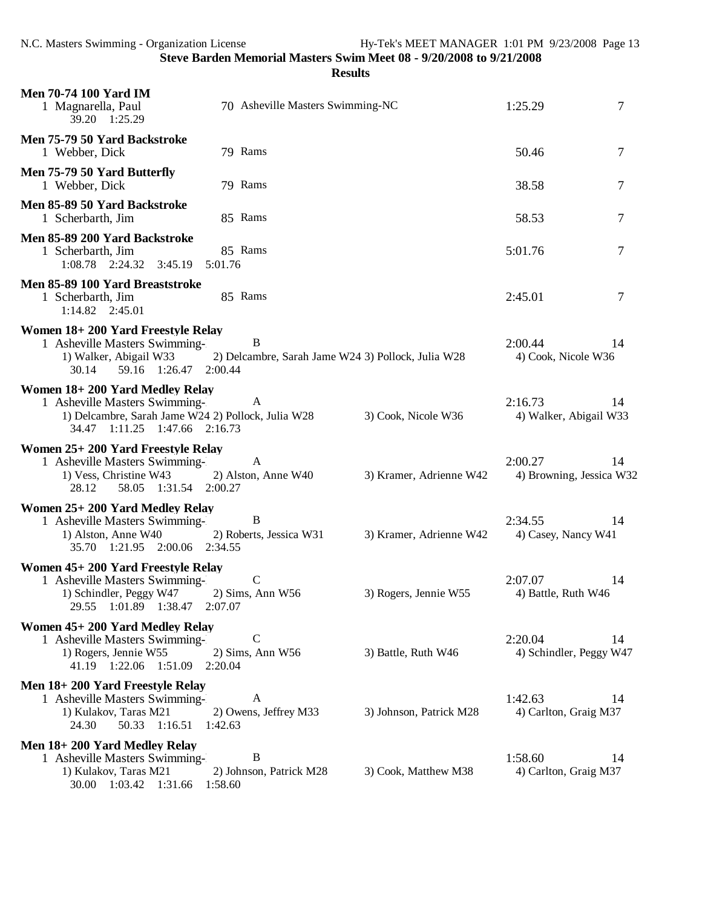| <b>Men 70-74 100 Yard IM</b><br>1 Magnarella, Paul<br>39.20 1:25.29                                                                                    | 70 Asheville Masters Swimming-NC                        | 1:25.29                 | 7                                   |                |
|--------------------------------------------------------------------------------------------------------------------------------------------------------|---------------------------------------------------------|-------------------------|-------------------------------------|----------------|
| Men 75-79 50 Yard Backstroke<br>1 Webber, Dick                                                                                                         | 79 Rams                                                 |                         | 50.46                               | $\overline{7}$ |
| Men 75-79 50 Yard Butterfly<br>1 Webber, Dick                                                                                                          | 79 Rams                                                 |                         | 38.58                               | 7              |
| Men 85-89 50 Yard Backstroke<br>1 Scherbarth, Jim                                                                                                      | 85 Rams                                                 |                         | 58.53                               | 7              |
| Men 85-89 200 Yard Backstroke<br>1 Scherbarth, Jim<br>1:08.78 2:24.32 3:45.19                                                                          | 85 Rams<br>5:01.76                                      |                         | 5:01.76                             | $\overline{7}$ |
| Men 85-89 100 Yard Breaststroke<br>1 Scherbarth, Jim<br>$1:14.82$ $2:45.01$                                                                            | 85 Rams                                                 |                         | 2:45.01                             | 7              |
| Women 18+200 Yard Freestyle Relay<br>1 Asheville Masters Swimming-<br>1) Walker, Abigail W33<br>59.16 1:26.47 2:00.44<br>30.14                         | B<br>2) Delcambre, Sarah Jame W24 3) Pollock, Julia W28 |                         | 2:00.44<br>4) Cook, Nicole W36      | 14             |
| Women 18+200 Yard Medley Relay<br>1 Asheville Masters Swimming-<br>1) Delcambre, Sarah Jame W24 2) Pollock, Julia W28<br>34.47 1:11.25 1:47.66 2:16.73 | A                                                       | 3) Cook, Nicole W36     | 2:16.73<br>4) Walker, Abigail W33   | 14             |
| Women 25+200 Yard Freestyle Relay<br>1 Asheville Masters Swimming-<br>1) Vess, Christine W43<br>58.05 1:31.54 2:00.27<br>28.12                         | A<br>2) Alston, Anne W40                                | 3) Kramer, Adrienne W42 | 2:00.27<br>4) Browning, Jessica W32 | 14             |
| Women 25+200 Yard Medley Relay<br>1 Asheville Masters Swimming-<br>1) Alston, Anne W40<br>35.70 1:21.95 2:00.06 2:34.55                                | B<br>2) Roberts, Jessica W31                            | 3) Kramer, Adrienne W42 | 2:34.55<br>4) Casey, Nancy W41      | 14             |
| Women 45+200 Yard Freestyle Relay<br>1 Asheville Masters Swimming-<br>1) Schindler, Peggy W47<br>1:01.89 1:38.47<br>29.55                              | $\mathsf{C}$<br>2) Sims, Ann W56<br>2:07.07             | 3) Rogers, Jennie W55   | 2:07.07<br>4) Battle, Ruth W46      | 14             |
| Women 45+200 Yard Medley Relay<br>1 Asheville Masters Swimming-<br>1) Rogers, Jennie W55<br>41.19 1:22.06 1:51.09                                      | $\mathsf{C}$<br>2) Sims, Ann W56<br>2:20.04             | 3) Battle, Ruth W46     | 2:20.04<br>4) Schindler, Peggy W47  | 14             |
| Men 18+200 Yard Freestyle Relay<br>1 Asheville Masters Swimming-<br>1) Kulakov, Taras M21<br>24.30<br>50.33 1:16.51                                    | A<br>2) Owens, Jeffrey M33<br>1:42.63                   | 3) Johnson, Patrick M28 | 1:42.63<br>4) Carlton, Graig M37    | 14             |
| Men 18+200 Yard Medley Relay<br>1 Asheville Masters Swimming-<br>1) Kulakov, Taras M21<br>30.00 1:03.42<br>1:31.66                                     | B<br>2) Johnson, Patrick M28<br>1:58.60                 | 3) Cook, Matthew M38    | 1:58.60<br>4) Carlton, Graig M37    | 14             |
|                                                                                                                                                        |                                                         |                         |                                     |                |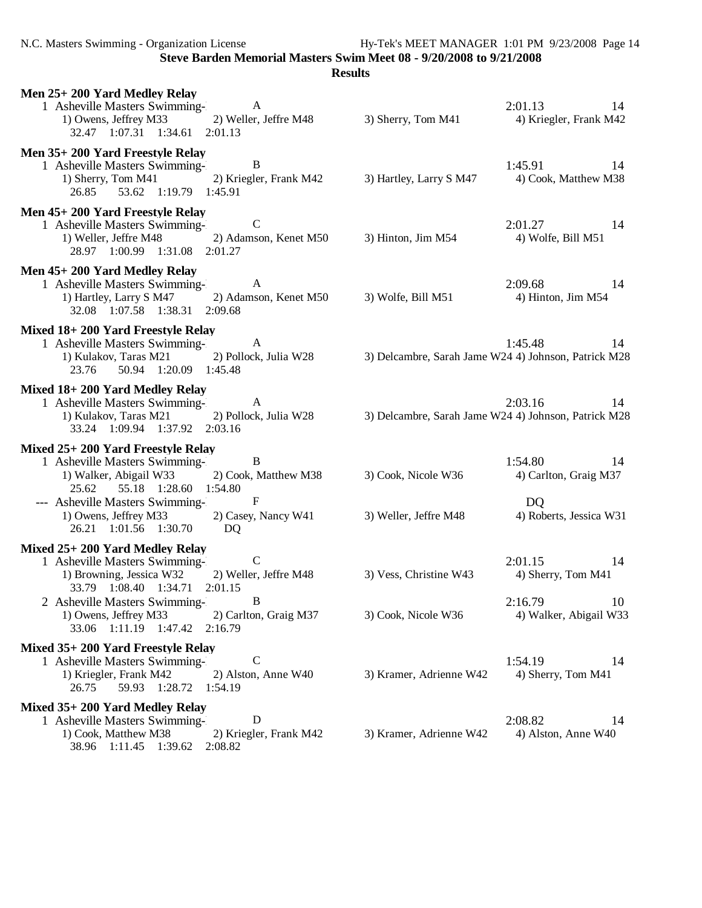N.C. Masters Swimming - Organization License Hy-Tek's MEET MANAGER 1:01 PM 9/23/2008 Page 14

**Steve Barden Memorial Masters Swim Meet 08 - 9/20/2008 to 9/21/2008**

| Men 25+200 Yard Medley Relay<br>1 Asheville Masters Swimming- A<br>1) Owens, Jeffrey M33 2) Weller, Jeffre M48<br>32.47 1:07.31 1:34.61 2:01.13                                    | 3) Sherry, Tom M41      | 2:01.13 14<br>4) Kriegler, Frank M42                                  |
|------------------------------------------------------------------------------------------------------------------------------------------------------------------------------------|-------------------------|-----------------------------------------------------------------------|
| Men 35+200 Yard Freestyle Relay<br>B<br>1 Asheville Masters Swimming-<br>1) Sherry, Tom M41 2) Kriegler, Frank M42<br>26.85 53.62 1:19.79 1:45.91                                  | 3) Hartley, Larry S M47 | 1:45.91<br>- 14<br>4) Cook, Matthew M38                               |
| Men 45+200 Yard Freestyle Relay<br>$\mathbf C$<br>1 Asheville Masters Swimming-<br>1) Weller, Jeffre M48 2) Adamson, Kenet M50 3) Hinton, Jim M54<br>28.97 1:00.99 1:31.08 2:01.27 |                         | 2:01.27 14<br>4) Wolfe, Bill M51                                      |
| Men 45+200 Yard Medley Relay<br>1 Asheville Masters Swimming- A<br>1) Hartley, Larry S M47 2) Adamson, Kenet M50<br>32.08 1:07.58 1:38.31 2:09.68                                  | 3) Wolfe, Bill M51      | 2:09.68<br>14<br>4) Hinton, Jim M54                                   |
| Mixed 18+200 Yard Freestyle Relay<br>1 Asheville Masters Swimming-<br>A<br>1) Kulakov, Taras M21 2) Pollock, Julia W28<br>23.76 50.94 1:20.09 1:45.48                              |                         | 1:45.48<br>14<br>3) Delcambre, Sarah Jame W24 4) Johnson, Patrick M28 |
| Mixed 18+200 Yard Medley Relay<br>1 Asheville Masters Swimming- A<br>1) Kulakov, Taras M21 2) Pollock, Julia W28<br>33.24 1:09.94 1:37.92 2:03.16                                  |                         | 2:03.16<br>14<br>3) Delcambre, Sarah Jame W24 4) Johnson, Patrick M28 |
| Mixed 25+ 200 Yard Freestyle Relay<br>$\overline{B}$<br>1 Asheville Masters Swimming-<br>2) Cook, Matthew M38<br>1) Walker, Abigail W33<br>25.62 55.18 1:28.60 1:54.80             | 3) Cook, Nicole W36     | 1:54.80 14<br>4) Carlton, Graig M37                                   |
| $\mathbf{F}$<br>--- Asheville Masters Swimming-<br>2) Casey, Nancy W41<br>1) Owens, Jeffrey M33<br>26.21 1:01.56 1:30.70<br>DQ                                                     | 3) Weller, Jeffre M48   | D <sub>Q</sub><br>4) Roberts, Jessica W31                             |
| Mixed 25+200 Yard Medley Relay<br>$\overline{C}$<br>1 Asheville Masters Swimming-<br>1) Browning, Jessica W32<br>2) Weller, Jeffre M48<br>33.79 1:08.40 1:34.71<br>2:01.15         | 3) Vess, Christine W43  | 2:01.15<br>14<br>4) Sherry, Tom M41                                   |
| B<br>2 Asheville Masters Swimming-<br>1) Owens, Jeffrey M33<br>2) Carlton, Graig M37<br>33.06 1:11.19 1:47.42<br>2:16.79                                                           | 3) Cook, Nicole W36     | 2:16.79<br>10<br>4) Walker, Abigail W33                               |
| Mixed 35+ 200 Yard Freestyle Relay<br>$\mathsf{C}$<br>1 Asheville Masters Swimming-<br>1) Kriegler, Frank M42<br>2) Alston, Anne W40<br>59.93 1:28.72<br>1:54.19<br>26.75          | 3) Kramer, Adrienne W42 | 1:54.19<br>14<br>4) Sherry, Tom M41                                   |
| Mixed 35+200 Yard Medley Relay<br>D<br>1 Asheville Masters Swimming-<br>1) Cook, Matthew M38<br>2) Kriegler, Frank M42<br>38.96 1:11.45 1:39.62<br>2:08.82                         | 3) Kramer, Adrienne W42 | 2:08.82<br>14<br>4) Alston, Anne W40                                  |